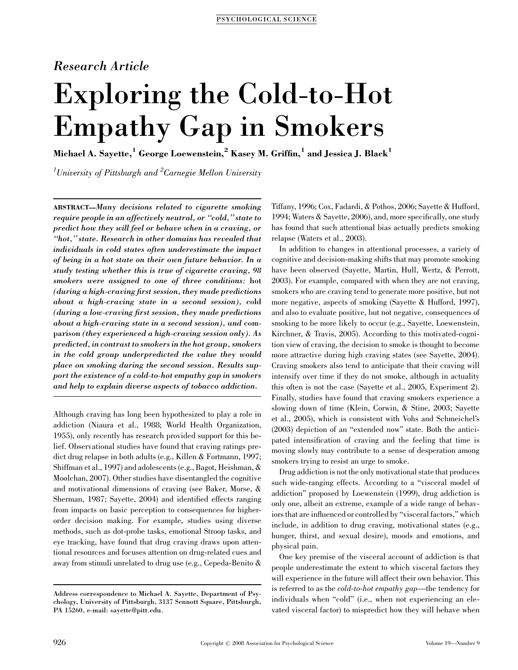# Research Article

# Exploring the Cold-to-Hot Empathy Gap in Smokers

Michael A. Sayette,<sup>1</sup> George Loewenstein,<sup>2</sup> Kasey M. Griffin,<sup>1</sup> and Jessica J. Black<sup>1</sup>

 $^1$ University of Pittsburgh and  $^2$ Carnegie Mellon University

ABSTRACT—Many decisions related to cigarette smoking require people in an affectively neutral, or ''cold,''state to predict how they will feel or behave when in a craving, or ''hot,'' state. Research in other domains has revealed that individuals in cold states often underestimate the impact of being in a hot state on their own future behavior. In a study testing whether this is true of cigarette craving, 98 smokers were assigned to one of three conditions: hot (during a high-craving first session, they made predictions about a high-craving state in a second session), cold (during a low-craving first session, they made predictions about a high-craving state in a second session), and comparison (they experienced a high-craving session only). As predicted, in contrast to smokers in the hot group, smokers in the cold group underpredicted the value they would place on smoking during the second session. Results support the existence of a cold-to-hot empathy gap in smokers and help to explain diverse aspects of tobacco addiction.

Although craving has long been hypothesized to play a role in addiction (Niaura et al., 1988; World Health Organization, 1955), only recently has research provided support for this belief. Observational studies have found that craving ratings predict drug relapse in both adults (e.g., Killen & Fortmann, 1997; Shiffman et al., 1997) and adolescents (e.g., Bagot, Heishman, & Moolchan, 2007). Other studies have disentangled the cognitive and motivational dimensions of craving (see Baker, Morse, & Sherman, 1987; Sayette, 2004) and identified effects ranging from impacts on basic perception to consequences for higherorder decision making. For example, studies using diverse methods, such as dot-probe tasks, emotional Stroop tasks, and eye tracking, have found that drug craving draws upon attentional resources and focuses attention on drug-related cues and away from stimuli unrelated to drug use (e.g., Cepeda-Benito & Tiffany, 1996; Cox, Fadardi, & Pothos, 2006; Sayette & Hufford, 1994; Waters & Sayette, 2006), and, more specifically, one study has found that such attentional bias actually predicts smoking relapse (Waters et al., 2003).

In addition to changes in attentional processes, a variety of cognitive and decision-making shifts that may promote smoking have been observed (Sayette, Martin, Hull, Wertz, & Perrott, 2003). For example, compared with when they are not craving, smokers who are craving tend to generate more positive, but not more negative, aspects of smoking (Sayette & Hufford, 1997), and also to evaluate positive, but not negative, consequences of smoking to be more likely to occur (e.g., Sayette, Loewenstein, Kirchner, & Travis, 2005). According to this motivated-cognition view of craving, the decision to smoke is thought to become more attractive during high craving states (see Sayette, 2004). Craving smokers also tend to anticipate that their craving will intensify over time if they do not smoke, although in actuality this often is not the case (Sayette et al., 2005, Experiment 2). Finally, studies have found that craving smokers experience a slowing down of time (Klein, Corwin, & Stine, 2003; Sayette et al., 2005), which is consistent with Vohs and Schmeichel's (2003) depiction of an ''extended now'' state. Both the anticipated intensification of craving and the feeling that time is moving slowly may contribute to a sense of desperation among smokers trying to resist an urge to smoke.

Drug addiction is not the only motivational state that produces such wide-ranging effects. According to a "visceral model of addiction'' proposed by Loewenstein (1999), drug addiction is only one, albeit an extreme, example of a wide range of behaviors that are influenced or controlled by ''visceral factors,'' which include, in addition to drug craving, motivational states (e.g., hunger, thirst, and sexual desire), moods and emotions, and physical pain.

One key premise of the visceral account of addiction is that people underestimate the extent to which visceral factors they will experience in the future will affect their own behavior. This is referred to as the cold-to-hot empathy gap—the tendency for individuals when "cold" (i.e., when not experiencing an elevated visceral factor) to mispredict how they will behave when

Address correspondence to Michael A. Sayette, Department of Psychology, University of Pittsburgh, 3137 Sennott Square, Pittsburgh, PA 15260, e-mail: sayette@pitt.edu.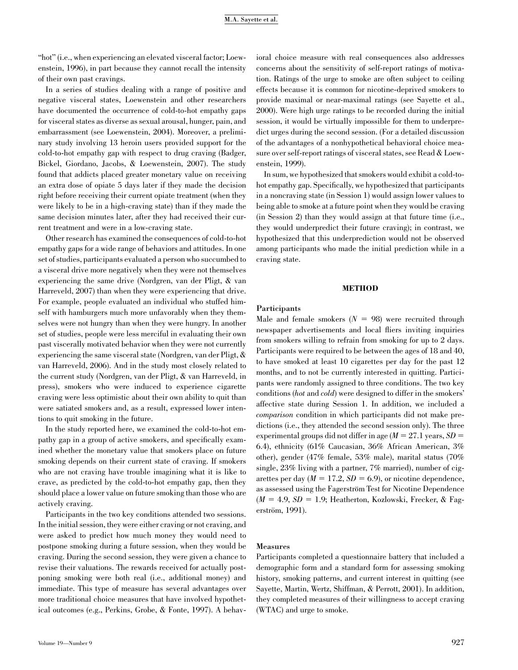''hot'' (i.e., when experiencing an elevated visceral factor; Loewenstein, 1996), in part because they cannot recall the intensity of their own past cravings.

In a series of studies dealing with a range of positive and negative visceral states, Loewenstein and other researchers have documented the occurrence of cold-to-hot empathy gaps for visceral states as diverse as sexual arousal, hunger, pain, and embarrassment (see Loewenstein, 2004). Moreover, a preliminary study involving 13 heroin users provided support for the cold-to-hot empathy gap with respect to drug craving (Badger, Bickel, Giordano, Jacobs, & Loewenstein, 2007). The study found that addicts placed greater monetary value on receiving an extra dose of opiate 5 days later if they made the decision right before receiving their current opiate treatment (when they were likely to be in a high-craving state) than if they made the same decision minutes later, after they had received their current treatment and were in a low-craving state.

Other research has examined the consequences of cold-to-hot empathy gaps for a wide range of behaviors and attitudes. In one set of studies, participants evaluated a person who succumbed to a visceral drive more negatively when they were not themselves experiencing the same drive (Nordgren, van der Pligt, & van Harreveld, 2007) than when they were experiencing that drive. For example, people evaluated an individual who stuffed himself with hamburgers much more unfavorably when they themselves were not hungry than when they were hungry. In another set of studies, people were less merciful in evaluating their own past viscerally motivated behavior when they were not currently experiencing the same visceral state (Nordgren, van der Pligt, & van Harreveld, 2006). And in the study most closely related to the current study (Nordgren, van der Pligt, & van Harreveld, in press), smokers who were induced to experience cigarette craving were less optimistic about their own ability to quit than were satiated smokers and, as a result, expressed lower intentions to quit smoking in the future.

In the study reported here, we examined the cold-to-hot empathy gap in a group of active smokers, and specifically examined whether the monetary value that smokers place on future smoking depends on their current state of craving. If smokers who are not craving have trouble imagining what it is like to crave, as predicted by the cold-to-hot empathy gap, then they should place a lower value on future smoking than those who are actively craving.

Participants in the two key conditions attended two sessions. In the initial session, they were either craving or not craving, and were asked to predict how much money they would need to postpone smoking during a future session, when they would be craving. During the second session, they were given a chance to revise their valuations. The rewards received for actually postponing smoking were both real (i.e., additional money) and immediate. This type of measure has several advantages over more traditional choice measures that have involved hypothetical outcomes (e.g., Perkins, Grobe, & Fonte, 1997). A behav-

ioral choice measure with real consequences also addresses concerns about the sensitivity of self-report ratings of motivation. Ratings of the urge to smoke are often subject to ceiling effects because it is common for nicotine-deprived smokers to provide maximal or near-maximal ratings (see Sayette et al., 2000). Were high urge ratings to be recorded during the initial session, it would be virtually impossible for them to underpredict urges during the second session. (For a detailed discussion of the advantages of a nonhypothetical behavioral choice measure over self-report ratings of visceral states, see Read & Loewenstein, 1999).

In sum, we hypothesized that smokers would exhibit a cold-tohot empathy gap. Specifically, we hypothesized that participants in a noncraving state (in Session 1) would assign lower values to being able to smoke at a future point when they would be craving (in Session 2) than they would assign at that future time (i.e., they would underpredict their future craving); in contrast, we hypothesized that this underprediction would not be observed among participants who made the initial prediction while in a craving state.

#### METHOD

# Participants

Male and female smokers  $(N = 98)$  were recruited through newspaper advertisements and local fliers inviting inquiries from smokers willing to refrain from smoking for up to 2 days. Participants were required to be between the ages of 18 and 40, to have smoked at least 10 cigarettes per day for the past 12 months, and to not be currently interested in quitting. Participants were randomly assigned to three conditions. The two key conditions (hot and cold) were designed to differ in the smokers' affective state during Session 1. In addition, we included a comparison condition in which participants did not make predictions (i.e., they attended the second session only). The three experimental groups did not differ in age  $(M = 27.1$  years,  $SD =$ 6.4), ethnicity (61% Caucasian, 36% African American, 3% other), gender (47% female, 53% male), marital status (70% single, 23% living with a partner, 7% married), number of cigarettes per day  $(M = 17.2, SD = 6.9)$ , or nicotine dependence, as assessed using the Fagerström Test for Nicotine Dependence  $(M = 4.9, SD = 1.9;$  Heatherton, Kozlowski, Frecker, & Fagerström, 1991).

#### Measures

Participants completed a questionnaire battery that included a demographic form and a standard form for assessing smoking history, smoking patterns, and current interest in quitting (see Sayette, Martin, Wertz, Shiffman, & Perrott, 2001). In addition, they completed measures of their willingness to accept craving (WTAC) and urge to smoke.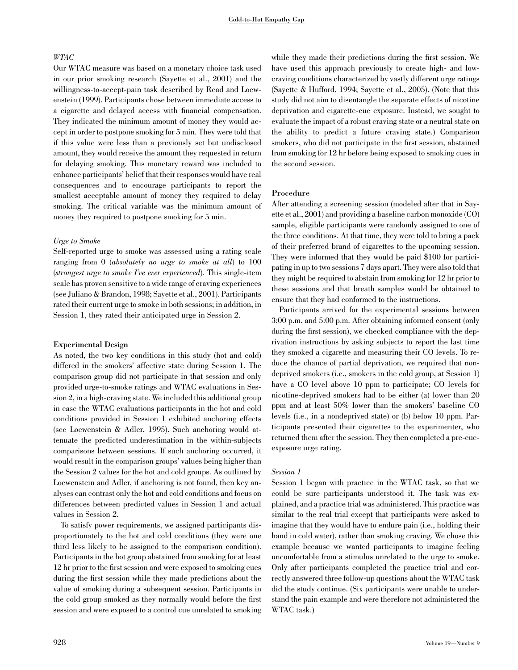# WTAC

Our WTAC measure was based on a monetary choice task used in our prior smoking research (Sayette et al., 2001) and the willingness-to-accept-pain task described by Read and Loewenstein (1999). Participants chose between immediate access to a cigarette and delayed access with financial compensation. They indicated the minimum amount of money they would accept in order to postpone smoking for 5 min. They were told that if this value were less than a previously set but undisclosed amount, they would receive the amount they requested in return for delaying smoking. This monetary reward was included to enhance participants' belief that their responses would have real consequences and to encourage participants to report the smallest acceptable amount of money they required to delay smoking. The critical variable was the minimum amount of money they required to postpone smoking for 5 min.

# Urge to Smoke

Self-reported urge to smoke was assessed using a rating scale ranging from 0 (absolutely no urge to smoke at all) to 100 (strongest urge to smoke I've ever experienced). This single-item scale has proven sensitive to a wide range of craving experiences (see Juliano & Brandon, 1998; Sayette et al., 2001). Participants rated their current urge to smoke in both sessions; in addition, in Session 1, they rated their anticipated urge in Session 2.

# Experimental Design

As noted, the two key conditions in this study (hot and cold) differed in the smokers' affective state during Session 1. The comparison group did not participate in that session and only provided urge-to-smoke ratings and WTAC evaluations in Session 2, in a high-craving state. We included this additional group in case the WTAC evaluations participants in the hot and cold conditions provided in Session 1 exhibited anchoring effects (see Loewenstein & Adler, 1995). Such anchoring would attenuate the predicted underestimation in the within-subjects comparisons between sessions. If such anchoring occurred, it would result in the comparison groups' values being higher than the Session 2 values for the hot and cold groups. As outlined by Loewenstein and Adler, if anchoring is not found, then key analyses can contrast only the hot and cold conditions and focus on differences between predicted values in Session 1 and actual values in Session 2.

To satisfy power requirements, we assigned participants disproportionately to the hot and cold conditions (they were one third less likely to be assigned to the comparison condition). Participants in the hot group abstained from smoking for at least 12 hr prior to the first session and were exposed to smoking cues during the first session while they made predictions about the value of smoking during a subsequent session. Participants in the cold group smoked as they normally would before the first session and were exposed to a control cue unrelated to smoking

while they made their predictions during the first session. We have used this approach previously to create high- and lowcraving conditions characterized by vastly different urge ratings (Sayette & Hufford, 1994; Sayette et al., 2005). (Note that this study did not aim to disentangle the separate effects of nicotine deprivation and cigarette-cue exposure. Instead, we sought to evaluate the impact of a robust craving state or a neutral state on the ability to predict a future craving state.) Comparison smokers, who did not participate in the first session, abstained from smoking for 12 hr before being exposed to smoking cues in the second session.

#### Procedure

After attending a screening session (modeled after that in Sayette et al., 2001) and providing a baseline carbon monoxide (CO) sample, eligible participants were randomly assigned to one of the three conditions. At that time, they were told to bring a pack of their preferred brand of cigarettes to the upcoming session. They were informed that they would be paid \$100 for participating in up to two sessions 7 days apart. They were also told that they might be required to abstain from smoking for 12 hr prior to these sessions and that breath samples would be obtained to ensure that they had conformed to the instructions.

Participants arrived for the experimental sessions between 3:00 p.m. and 5:00 p.m. After obtaining informed consent (only during the first session), we checked compliance with the deprivation instructions by asking subjects to report the last time they smoked a cigarette and measuring their CO levels. To reduce the chance of partial deprivation, we required that nondeprived smokers (i.e., smokers in the cold group, at Session 1) have a CO level above 10 ppm to participate; CO levels for nicotine-deprived smokers had to be either (a) lower than 20 ppm and at least 50% lower than the smokers' baseline CO levels (i.e., in a nondeprived state) or (b) below 10 ppm. Participants presented their cigarettes to the experimenter, who returned them after the session. They then completed a pre-cueexposure urge rating.

## Session 1

Session 1 began with practice in the WTAC task, so that we could be sure participants understood it. The task was explained, and a practice trial was administered. This practice was similar to the real trial except that participants were asked to imagine that they would have to endure pain (i.e., holding their hand in cold water), rather than smoking craving. We chose this example because we wanted participants to imagine feeling uncomfortable from a stimulus unrelated to the urge to smoke. Only after participants completed the practice trial and correctly answered three follow-up questions about the WTAC task did the study continue. (Six participants were unable to understand the pain example and were therefore not administered the WTAC task.)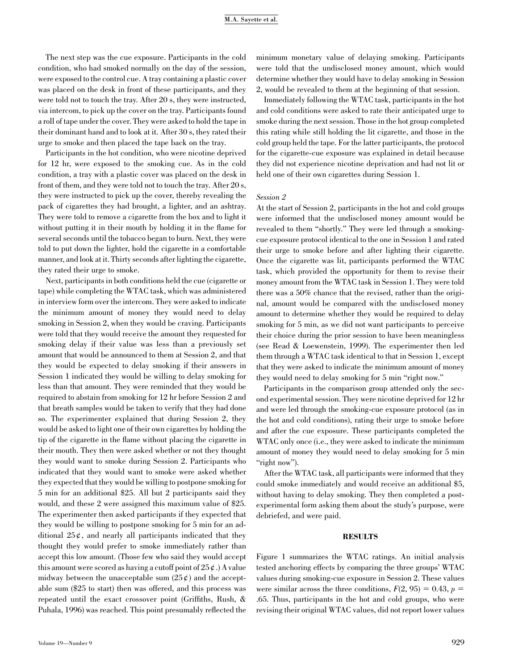#### M.A. Sayette et al.

The next step was the cue exposure. Participants in the cold condition, who had smoked normally on the day of the session, were exposed to the control cue. A tray containing a plastic cover was placed on the desk in front of these participants, and they were told not to touch the tray. After 20 s, they were instructed, via intercom, to pick up the cover on the tray. Participants found a roll of tape under the cover. They were asked to hold the tape in their dominant hand and to look at it. After 30 s, they rated their urge to smoke and then placed the tape back on the tray.

Participants in the hot condition, who were nicotine deprived for 12 hr, were exposed to the smoking cue. As in the cold condition, a tray with a plastic cover was placed on the desk in front of them, and they were told not to touch the tray. After 20 s, they were instructed to pick up the cover, thereby revealing the pack of cigarettes they had brought, a lighter, and an ashtray. They were told to remove a cigarette from the box and to light it without putting it in their mouth by holding it in the flame for several seconds until the tobacco began to burn. Next, they were told to put down the lighter, hold the cigarette in a comfortable manner, and look at it. Thirty seconds after lighting the cigarette, they rated their urge to smoke.

Next, participants in both conditions held the cue (cigarette or tape) while completing the WTAC task, which was administered in interview form over the intercom. They were asked to indicate the minimum amount of money they would need to delay smoking in Session 2, when they would be craving. Participants were told that they would receive the amount they requested for smoking delay if their value was less than a previously set amount that would be announced to them at Session 2, and that they would be expected to delay smoking if their answers in Session 1 indicated they would be willing to delay smoking for less than that amount. They were reminded that they would be required to abstain from smoking for 12 hr before Session 2 and that breath samples would be taken to verify that they had done so. The experimenter explained that during Session 2, they would be asked to light one of their own cigarettes by holding the tip of the cigarette in the flame without placing the cigarette in their mouth. They then were asked whether or not they thought they would want to smoke during Session 2. Participants who indicated that they would want to smoke were asked whether they expected that they would be willing to postpone smoking for 5 min for an additional \$25. All but 2 participants said they would, and these 2 were assigned this maximum value of \$25. The experimenter then asked participants if they expected that they would be willing to postpone smoking for 5 min for an additional  $25\ell$ , and nearly all participants indicated that they thought they would prefer to smoke immediately rather than accept this low amount. (Those few who said they would accept this amount were scored as having a cutoff point of  $25¢$ .) A value midway between the unacceptable sum  $(25¢)$  and the acceptable sum (\$25 to start) then was offered, and this process was repeated until the exact crossover point (Griffiths, Rush, & Puhala, 1996) was reached. This point presumably reflected the

Volume 19—Number 9 929

minimum monetary value of delaying smoking. Participants were told that the undisclosed money amount, which would determine whether they would have to delay smoking in Session 2, would be revealed to them at the beginning of that session.

Immediately following the WTAC task, participants in the hot and cold conditions were asked to rate their anticipated urge to smoke during the next session. Those in the hot group completed this rating while still holding the lit cigarette, and those in the cold group held the tape. For the latter participants, the protocol for the cigarette-cue exposure was explained in detail because they did not experience nicotine deprivation and had not lit or held one of their own cigarettes during Session 1.

#### Session 2

At the start of Session 2, participants in the hot and cold groups were informed that the undisclosed money amount would be revealed to them "shortly." They were led through a smokingcue exposure protocol identical to the one in Session 1 and rated their urge to smoke before and after lighting their cigarette. Once the cigarette was lit, participants performed the WTAC task, which provided the opportunity for them to revise their money amount from the WTAC task in Session 1. They were told there was a 50% chance that the revised, rather than the original, amount would be compared with the undisclosed money amount to determine whether they would be required to delay smoking for 5 min, as we did not want participants to perceive their choice during the prior session to have been meaningless (see Read & Loewenstein, 1999). The experimenter then led them through a WTAC task identical to that in Session 1, except that they were asked to indicate the minimum amount of money they would need to delay smoking for 5 min ''right now.''

Participants in the comparison group attended only the second experimental session. They were nicotine deprived for 12 hr and were led through the smoking-cue exposure protocol (as in the hot and cold conditions), rating their urge to smoke before and after the cue exposure. These participants completed the WTAC only once (i.e., they were asked to indicate the minimum amount of money they would need to delay smoking for 5 min "right now").

After the WTAC task, all participants were informed that they could smoke immediately and would receive an additional \$5, without having to delay smoking. They then completed a postexperimental form asking them about the study's purpose, were debriefed, and were paid.

#### RESULTS

Figure 1 summarizes the WTAC ratings. An initial analysis tested anchoring effects by comparing the three groups' WTAC values during smoking-cue exposure in Session 2. These values were similar across the three conditions,  $F(2, 95) = 0.43$ ,  $p =$ .65. Thus, participants in the hot and cold groups, who were revising their original WTAC values, did not report lower values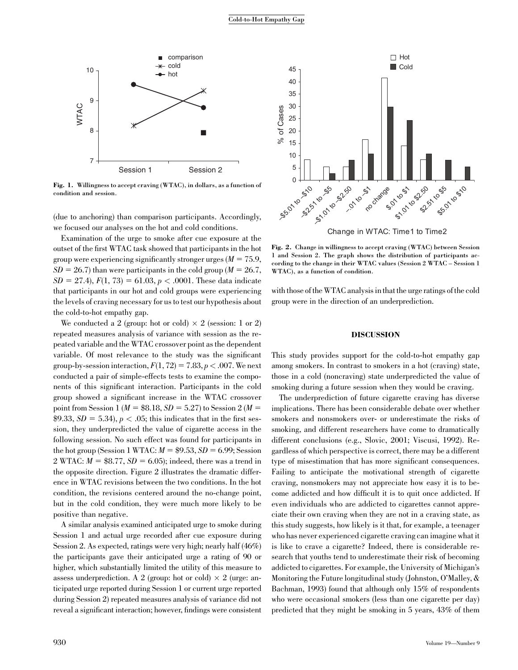

Fig. 1. Willingness to accept craving (WTAC), in dollars, as a function of condition and session.

(due to anchoring) than comparison participants. Accordingly, we focused our analyses on the hot and cold conditions.

Examination of the urge to smoke after cue exposure at the outset of the first WTAC task showed that participants in the hot group were experiencing significantly stronger urges  $(M = 75.9)$ ,  $SD = 26.7$ ) than were participants in the cold group ( $M = 26.7$ ,  $SD = 27.4$ ,  $F(1, 73) = 61.03$ ,  $p < .0001$ . These data indicate that participants in our hot and cold groups were experiencing the levels of craving necessary for us to test our hypothesis about the cold-to-hot empathy gap.

We conducted a 2 (group: hot or cold)  $\times$  2 (session: 1 or 2) repeated measures analysis of variance with session as the repeated variable and the WTAC crossover point as the dependent variable. Of most relevance to the study was the significant group-by-session interaction,  $F(1, 72) = 7.83$ ,  $p < .007$ . We next conducted a pair of simple-effects tests to examine the components of this significant interaction. Participants in the cold group showed a significant increase in the WTAC crossover point from Session 1 ( $M = $8.18, SD = 5.27$ ) to Session 2 ( $M =$ \$9.33,  $SD = 5.34$ ,  $p < .05$ ; this indicates that in the first session, they underpredicted the value of cigarette access in the following session. No such effect was found for participants in the hot group (Session 1 WTAC:  $M = $9.53, SD = 6.99$ ; Session 2 WTAC:  $M = $8.77, SD = 6.05$ ; indeed, there was a trend in the opposite direction. Figure 2 illustrates the dramatic difference in WTAC revisions between the two conditions. In the hot condition, the revisions centered around the no-change point, but in the cold condition, they were much more likely to be positive than negative.

A similar analysis examined anticipated urge to smoke during Session 1 and actual urge recorded after cue exposure during Session 2. As expected, ratings were very high; nearly half (46%) the participants gave their anticipated urge a rating of 90 or higher, which substantially limited the utility of this measure to assess underprediction. A 2 (group: hot or cold)  $\times$  2 (urge: anticipated urge reported during Session 1 or current urge reported during Session 2) repeated measures analysis of variance did not reveal a significant interaction; however, findings were consistent



Fig. 2. Change in willingness to accept craving (WTAC) between Session 1 and Session 2. The graph shows the distribution of participants according to the change in their WTAC values (Session 2 WTAC – Session 1 WTAC), as a function of condition.

with those of the WTAC analysis in that the urge ratings of the cold group were in the direction of an underprediction.

## DISCUSSION

This study provides support for the cold-to-hot empathy gap among smokers. In contrast to smokers in a hot (craving) state, those in a cold (noncraving) state underpredicted the value of smoking during a future session when they would be craving.

The underprediction of future cigarette craving has diverse implications. There has been considerable debate over whether smokers and nonsmokers over- or underestimate the risks of smoking, and different researchers have come to dramatically different conclusions (e.g., Slovic, 2001; Viscusi, 1992). Regardless of which perspective is correct, there may be a different type of misestimation that has more significant consequences. Failing to anticipate the motivational strength of cigarette craving, nonsmokers may not appreciate how easy it is to become addicted and how difficult it is to quit once addicted. If even individuals who are addicted to cigarettes cannot appreciate their own craving when they are not in a craving state, as this study suggests, how likely is it that, for example, a teenager who has never experienced cigarette craving can imagine what it is like to crave a cigarette? Indeed, there is considerable research that youths tend to underestimate their risk of becoming addicted to cigarettes. For example, the University of Michigan's Monitoring the Future longitudinal study (Johnston, O'Malley, & Bachman, 1993) found that although only 15% of respondents who were occasional smokers (less than one cigarette per day) predicted that they might be smoking in 5 years, 43% of them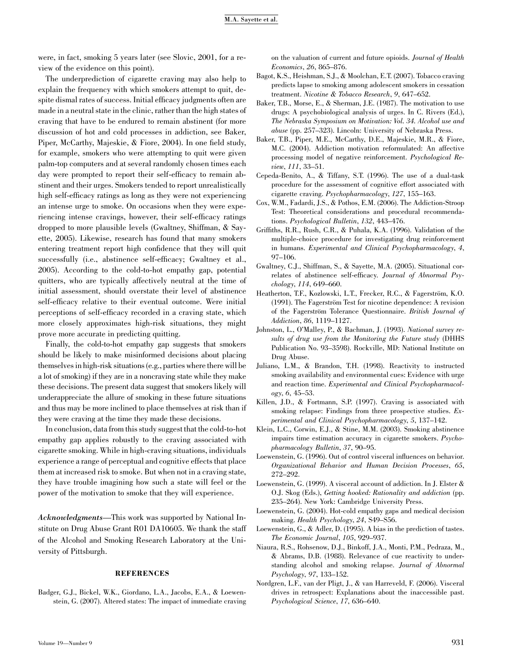were, in fact, smoking 5 years later (see Slovic, 2001, for a review of the evidence on this point).

The underprediction of cigarette craving may also help to explain the frequency with which smokers attempt to quit, despite dismal rates of success. Initial efficacy judgments often are made in a neutral state in the clinic, rather than the high states of craving that have to be endured to remain abstinent (for more discussion of hot and cold processes in addiction, see Baker, Piper, McCarthy, Majeskie, & Fiore, 2004). In one field study, for example, smokers who were attempting to quit were given palm-top computers and at several randomly chosen times each day were prompted to report their self-efficacy to remain abstinent and their urges. Smokers tended to report unrealistically high self-efficacy ratings as long as they were not experiencing an intense urge to smoke. On occasions when they were experiencing intense cravings, however, their self-efficacy ratings dropped to more plausible levels (Gwaltney, Shiffman, & Sayette, 2005). Likewise, research has found that many smokers entering treatment report high confidence that they will quit successfully (i.e., abstinence self-efficacy; Gwaltney et al., 2005). According to the cold-to-hot empathy gap, potential quitters, who are typically affectively neutral at the time of initial assessment, should overstate their level of abstinence self-efficacy relative to their eventual outcome. Were initial perceptions of self-efficacy recorded in a craving state, which more closely approximates high-risk situations, they might prove more accurate in predicting quitting.

Finally, the cold-to-hot empathy gap suggests that smokers should be likely to make misinformed decisions about placing themselves in high-risk situations (e.g., parties where there will be a lot of smoking) if they are in a noncraving state while they make these decisions. The present data suggest that smokers likely will underappreciate the allure of smoking in these future situations and thus may be more inclined to place themselves at risk than if they were craving at the time they made these decisions.

In conclusion, data from this study suggest that the cold-to-hot empathy gap applies robustly to the craving associated with cigarette smoking. While in high-craving situations, individuals experience a range of perceptual and cognitive effects that place them at increased risk to smoke. But when not in a craving state, they have trouble imagining how such a state will feel or the power of the motivation to smoke that they will experience.

Acknowledgments—This work was supported by National Institute on Drug Abuse Grant R01 DA10605. We thank the staff of the Alcohol and Smoking Research Laboratory at the University of Pittsburgh.

#### REFERENCES

Badger, G.J., Bickel, W.K., Giordano, L.A., Jacobs, E.A., & Loewenstein, G. (2007). Altered states: The impact of immediate craving on the valuation of current and future opioids. Journal of Health Economics, 26, 865–876.

- Bagot, K.S., Heishman, S.J., & Moolchan, E.T. (2007). Tobacco craving predicts lapse to smoking among adolescent smokers in cessation treatment. Nicotine & Tobacco Research, 9, 647–652.
- Baker, T.B., Morse, E., & Sherman, J.E. (1987). The motivation to use drugs: A psychobiological analysis of urges. In C. Rivers (Ed.), The Nebraska Symposium on Motivation: Vol. 34. Alcohol use and abuse (pp. 257–323). Lincoln: University of Nebraska Press.
- Baker, T.B., Piper, M.E., McCarthy, D.E., Majeskie, M.R., & Fiore, M.C. (2004). Addiction motivation reformulated: An affective processing model of negative reinforcement. Psychological Review, 111, 33–51.
- Cepeda-Benito, A., & Tiffany, S.T. (1996). The use of a dual-task procedure for the assessment of cognitive effort associated with cigarette craving. Psychopharmacology, 127, 155–163.
- Cox, W.M., Fadardi, J.S., & Pothos, E.M. (2006). The Addiction-Stroop Test: Theoretical considerations and procedural recommendations. Psychological Bulletin, 132, 443–476.
- Griffiths, R.R., Rush, C.R., & Puhala, K.A. (1996). Validation of the multiple-choice procedure for investigating drug reinforcement in humans. Experimental and Clinical Psychopharmacology, 4, 97–106.
- Gwaltney, C.J., Shiffman, S., & Sayette, M.A. (2005). Situational correlates of abstinence self-efficacy. Journal of Abnormal Psychology, 114, 649–660.
- Heatherton, T.F., Kozlowski, L.T., Frecker, R.C., & Fagerström, K.O. (1991). The Fagerström Test for nicotine dependence: A revision of the Fagerström Tolerance Questionnaire. British Journal of Addiction, 86, 1119–1127.
- Johnston, L., O'Malley, P., & Bachman, J. (1993). National survey results of drug use from the Monitoring the Future study (DHHS Publication No. 93–3598). Rockville, MD: National Institute on Drug Abuse.
- Juliano, L.M., & Brandon, T.H. (1998). Reactivity to instructed smoking availability and environmental cues: Evidence with urge and reaction time. Experimental and Clinical Psychopharmacology, 6, 45–53.
- Killen, J.D., & Fortmann, S.P. (1997). Craving is associated with smoking relapse: Findings from three prospective studies. Experimental and Clinical Psychopharmacology, 5, 137–142.
- Klein, L.C., Corwin, E.J., & Stine, M.M. (2003). Smoking abstinence impairs time estimation accuracy in cigarette smokers. Psychopharmacology Bulletin, 37, 90–95.
- Loewenstein, G. (1996). Out of control visceral influences on behavior. Organizational Behavior and Human Decision Processes, 65, 272–292.
- Loewenstein, G. (1999). A visceral account of addiction. In J. Elster & O.J. Skog (Eds.), Getting hooked: Rationality and addiction (pp. 235–264). New York: Cambridge University Press.
- Loewenstein, G. (2004). Hot-cold empathy gaps and medical decision making. Health Psychology, 24, S49–S56.
- Loewenstein, G., & Adler, D. (1995). A bias in the prediction of tastes. The Economic Journal, 105, 929–937.
- Niaura, R.S., Rohsenow, D.J., Binkoff, J.A., Monti, P.M., Pedraza, M., & Abrams, D.B. (1988). Relevance of cue reactivity to understanding alcohol and smoking relapse. Journal of Abnormal Psychology, 97, 133–152.
- Nordgren, L.F., van der Pligt, J., & van Harreveld, F. (2006). Visceral drives in retrospect: Explanations about the inaccessible past. Psychological Science, 17, 636–640.